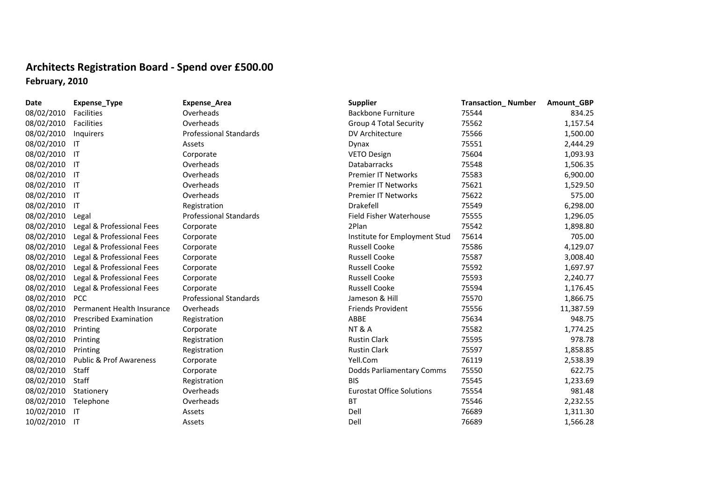## **Architects Registration Board ‐ Spend over £500.00 February, 2010**

| <b>Date</b> | Expense_Type                       | Expense_Area                  | <b>Supplier</b>                  | <b>Transaction_Number</b> | Amount_GBP |
|-------------|------------------------------------|-------------------------------|----------------------------------|---------------------------|------------|
| 08/02/2010  | Facilities                         | Overheads                     | <b>Backbone Furniture</b>        | 75544                     | 834.25     |
| 08/02/2010  | Facilities                         | Overheads                     | <b>Group 4 Total Security</b>    | 75562                     | 1,157.54   |
| 08/02/2010  | Inquirers                          | <b>Professional Standards</b> | DV Architecture                  | 75566                     | 1,500.00   |
| 08/02/2010  | -IT                                | Assets                        | Dynax                            | 75551                     | 2,444.29   |
| 08/02/2010  | - IT                               | Corporate                     | <b>VETO Design</b>               | 75604                     | 1,093.93   |
| 08/02/2010  | - IT                               | Overheads                     | <b>Databarracks</b>              | 75548                     | 1,506.35   |
| 08/02/2010  | ा                                  | Overheads                     | Premier IT Networks              | 75583                     | 6,900.00   |
| 08/02/2010  | - IT                               | Overheads                     | <b>Premier IT Networks</b>       | 75621                     | 1,529.50   |
| 08/02/2010  | - IT                               | Overheads                     | <b>Premier IT Networks</b>       | 75622                     | 575.00     |
| 08/02/2010  | IT                                 | Registration                  | Drakefell                        | 75549                     | 6,298.00   |
| 08/02/2010  | Legal                              | <b>Professional Standards</b> | Field Fisher Waterhouse          | 75555                     | 1,296.05   |
| 08/02/2010  | Legal & Professional Fees          | Corporate                     | 2Plan                            | 75542                     | 1,898.80   |
| 08/02/2010  | Legal & Professional Fees          | Corporate                     | Institute for Employment Stud    | 75614                     | 705.00     |
| 08/02/2010  | Legal & Professional Fees          | Corporate                     | <b>Russell Cooke</b>             | 75586                     | 4,129.07   |
| 08/02/2010  | Legal & Professional Fees          | Corporate                     | <b>Russell Cooke</b>             | 75587                     | 3,008.40   |
| 08/02/2010  | Legal & Professional Fees          | Corporate                     | <b>Russell Cooke</b>             | 75592                     | 1,697.97   |
| 08/02/2010  | Legal & Professional Fees          | Corporate                     | <b>Russell Cooke</b>             | 75593                     | 2,240.77   |
| 08/02/2010  | Legal & Professional Fees          | Corporate                     | <b>Russell Cooke</b>             | 75594                     | 1,176.45   |
| 08/02/2010  | <b>PCC</b>                         | <b>Professional Standards</b> | Jameson & Hill                   | 75570                     | 1,866.75   |
| 08/02/2010  | Permanent Health Insurance         | Overheads                     | <b>Friends Provident</b>         | 75556                     | 11,387.59  |
| 08/02/2010  | <b>Prescribed Examination</b>      | Registration                  | ABBE                             | 75634                     | 948.75     |
| 08/02/2010  | Printing                           | Corporate                     | <b>NT &amp; A</b>                | 75582                     | 1,774.25   |
| 08/02/2010  | Printing                           | Registration                  | <b>Rustin Clark</b>              | 75595                     | 978.78     |
| 08/02/2010  | Printing                           | Registration                  | <b>Rustin Clark</b>              | 75597                     | 1,858.85   |
| 08/02/2010  | <b>Public &amp; Prof Awareness</b> | Corporate                     | Yell.Com                         | 76119                     | 2,538.39   |
| 08/02/2010  | Staff                              | Corporate                     | Dodds Parliamentary Comms        | 75550                     | 622.75     |
| 08/02/2010  | Staff                              | Registration                  | <b>BIS</b>                       | 75545                     | 1,233.69   |
| 08/02/2010  | Stationery                         | Overheads                     | <b>Eurostat Office Solutions</b> | 75554                     | 981.48     |
| 08/02/2010  | Telephone                          | Overheads                     | ВT                               | 75546                     | 2,232.55   |
| 10/02/2010  | -IT                                | Assets                        | Dell                             | 76689                     | 1,311.30   |
| 10/02/2010  | ा                                  | Assets                        | Dell                             | 76689                     | 1,566.28   |